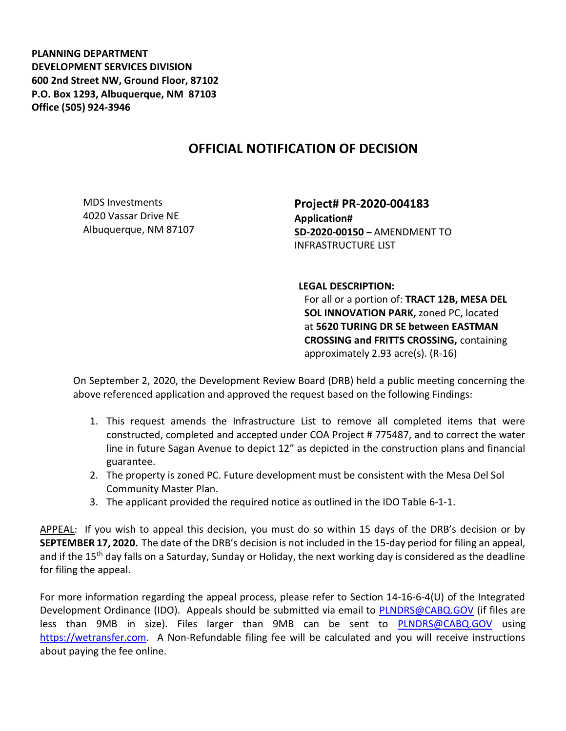PLANNING DEPARTMENT DEVELOPMENT SERVICES DIVISION 600 2nd Street NW, Ground Floor, 87102 P.O. Box 1293, Albuquerque, NM 87103 Office (505) 924-3946

## OFFICIAL NOTIFICATION OF DECISION

MDS Investments 4020 Vassar Drive NE Albuquerque, NM 87107

Project# PR-2020-004183 Application# SD-2020-00150 – AMENDMENT TO INFRASTRUCTURE LIST

LEGAL DESCRIPTION:

For all or a portion of: TRACT 12B, MESA DEL SOL INNOVATION PARK, zoned PC, located at 5620 TURING DR SE between EASTMAN CROSSING and FRITTS CROSSING, containing approximately 2.93 acre(s). (R-16)

On September 2, 2020, the Development Review Board (DRB) held a public meeting concerning the above referenced application and approved the request based on the following Findings:

- 1. This request amends the Infrastructure List to remove all completed items that were constructed, completed and accepted under COA Project # 775487, and to correct the water line in future Sagan Avenue to depict 12" as depicted in the construction plans and financial guarantee.
- 2. The property is zoned PC. Future development must be consistent with the Mesa Del Sol Community Master Plan.
- 3. The applicant provided the required notice as outlined in the IDO Table 6-1-1.

APPEAL: If you wish to appeal this decision, you must do so within 15 days of the DRB's decision or by SEPTEMBER 17, 2020. The date of the DRB's decision is not included in the 15-day period for filing an appeal, and if the 15<sup>th</sup> day falls on a Saturday, Sunday or Holiday, the next working day is considered as the deadline for filing the appeal.

For more information regarding the appeal process, please refer to Section 14-16-6-4(U) of the Integrated Development Ordinance (IDO). Appeals should be submitted via email to PLNDRS@CABQ.GOV (if files are less than 9MB in size). Files larger than 9MB can be sent to **PLNDRS@CABQ.GOV** using https://wetransfer.com. A Non-Refundable filing fee will be calculated and you will receive instructions about paying the fee online.